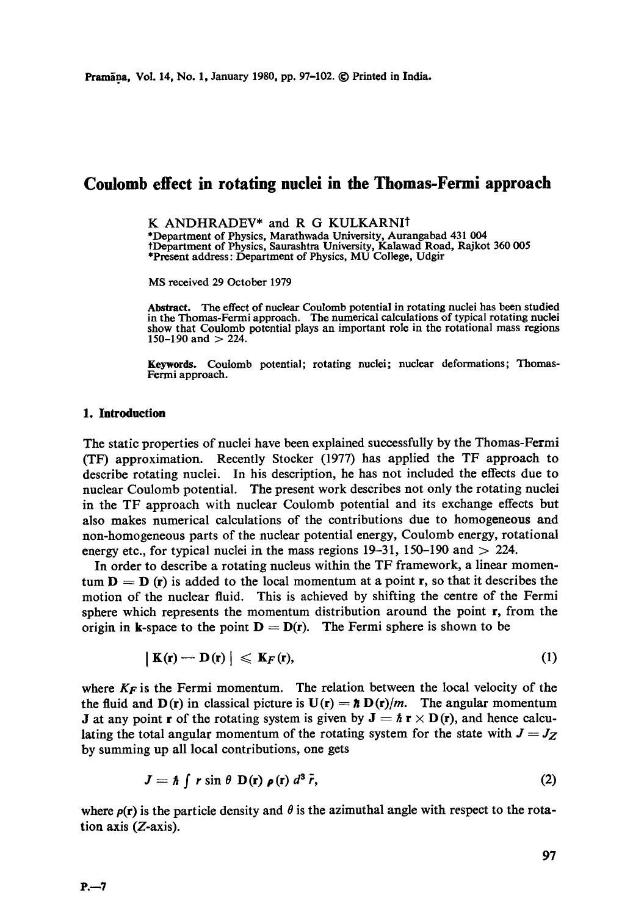## **Coulomb effect in rotating nuclei in the Thomas-Fermi approach**

K ANDHRADEV\* and R G KULKARNIt \*Department of Physics, Marathwada University, Aurangabad 431 004 tDepartment of Physics, Saurashtm University, Kalawad Road, Rajkot 360 005 \*Present address: Department of Physics, MU College, Udgir

MS received 29 October 1979

Abstract. The effect of nuclear Coulomb potential in rotating nuclei has been studied in the Thomas-Fermi approach. The numerical calculations of typical rotating nuclei show that Coulomb potential plays an important role in the rotational mass regions  $150-190$  and  $> 224$ .

Keywords. Coulomb potential; rotating nuclei; nuclear deformations; Thomas-Fermi approach.

## **1. Introduction**

The static properties of nuclei have been explained successfully by the Thomas-Fermi (TF) approximation. Recently Stocker (1977) has applied the TF approach to describe rotating nuclei. In his description, he has not included the effects due to nuclear Coulomb potential. The present work describes not only the rotating nuclei in the TF approach with nuclear Coulomb potential and its exchange effects but also makes numerical calculations of the contributions due to homogeneous and non-homogeneous parts of the nuclear potential energy, Coulomb energy, rotational energy etc., for typical nuclei in the mass regions  $19-31$ ,  $150-190$  and  $> 224$ .

In order to describe a rotating nucleus within the TF framework, a linear momentum  $D = D(r)$  is added to the local momentum at a point r, so that it describes the motion of the nuclear fluid. This is achieved by shifting the centre of the Fermi sphere which represents the momentum distribution around the point r, from the origin in k-space to the point  $D = D(r)$ . The Fermi sphere is shown to be

$$
|\mathbf{K}(\mathbf{r}) - \mathbf{D}(\mathbf{r})| \leqslant \mathbf{K}_F(\mathbf{r}),\tag{1}
$$

where  $K_F$  is the Fermi momentum. The relation between the local velocity of the the fluid and  $D(r)$  in classical picture is  $U(r) = \hbar D(r)/m$ . The angular momentum **J** at any point **r** of the rotating system is given by  $J = \hbar r \times D(r)$ , and hence calculating the total angular momentum of the rotating system for the state with  $J = J_Z$ by summing up all local contributions, one gets

$$
J = \hbar \int r \sin \theta \ D(\mathbf{r}) \ \rho(\mathbf{r}) \ d^3 \ \tilde{r}, \tag{2}
$$

where  $\rho(\mathbf{r})$  is the particle density and  $\theta$  is the azimuthal angle with respect to the rotation axis (Z-axis).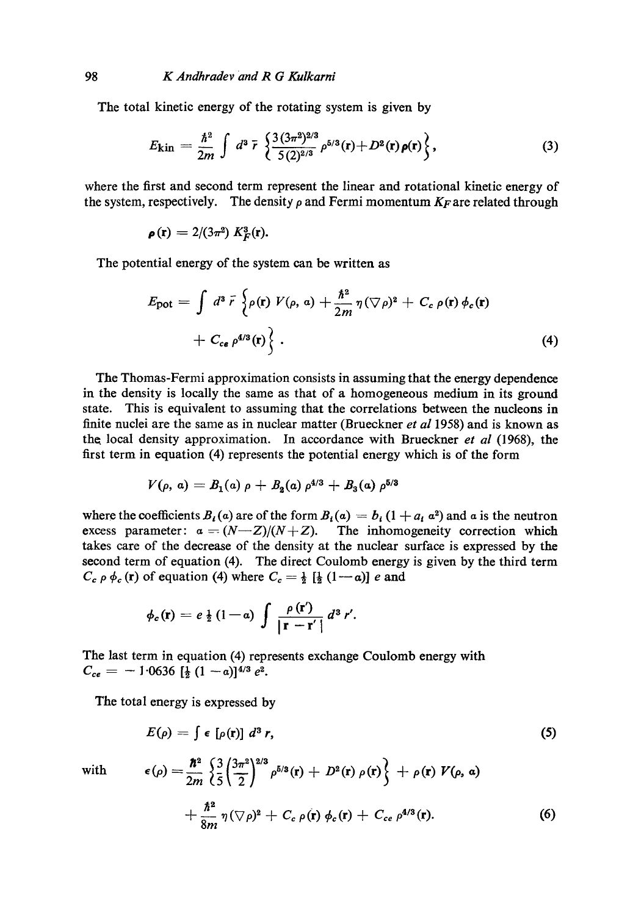The total kinetic energy of the rotating system is given by

$$
E_{\rm kin} = \frac{\hbar^2}{2m} \int d^3 \,\bar{r} \, \left\{ \frac{3(3\pi^2)^{2/3}}{5(2)^{2/3}} \rho^{5/3}({\bf r}) + D^2({\bf r}) \rho({\bf r}) \right\}, \tag{3}
$$

where the first and second term represent the linear and rotational kinetic energy of the system, respectively. The density  $\rho$  and Fermi momentum  $K_F$  are related through

$$
\rho(\mathbf{r})=2/(3\pi^2) K_F^3(\mathbf{r}).
$$

The potential energy of the system can be written as

$$
E_{\text{pot}} = \int d^3 \,\vec{r} \, \left\{ \rho(\mathbf{r}) \, V(\rho, a) + \frac{\hbar^2}{2m} \, \eta (\nabla \rho)^2 + C_c \, \rho(\mathbf{r}) \, \phi_c(\mathbf{r}) \right. \\ + C_{ce} \, \rho^{4/3}(\mathbf{r}) \right\} \, . \tag{4}
$$

The Thomas-Fermi approximation consists in assuming that the energy dependence in the density is locally the same as that of a homogeneous medium in its ground state. This is equivalent to assuming that the correlations between the nucleons in finite nuclei are the same as in nuclear matter (Brueckner *et al* 1958) and is known as the local density approximation. In accordance with Brueckner *et al* (1968), the first term in equation (4) represents the potential energy which is of the form

$$
V(\rho, a) = B_1(a) \rho + B_2(a) \rho^{4/3} + B_3(a) \rho^{5/3}
$$

where the coefficients  $B_i(a)$  are of the form  $B_i(a) = b_i (1 + a_i a^2)$  and a is the neutron excess parameter:  $\alpha = (N-Z)/(N+Z)$ . The inhomogeneity correction which takes care of the decrease of the density at the nuclear surface is expressed by the second term of equation (4). The direct Coulomb energy is given by the third term  $C_c \rho \phi_c(\mathbf{r})$  of equation (4) where  $C_c = \frac{1}{2} [\frac{1}{2}(1-a)] e$  and

$$
\phi_c(\mathbf{r}) = e^{\frac{1}{2}}(1-a) \int \frac{\rho(\mathbf{r}')}{|\mathbf{r}-\mathbf{r}'|} d^3 r'.
$$

The last term in equation (4) represents exchange Coulomb energy with  $C_{ce} = -1.0636 \left[\frac{1}{2} (1 - a)\right]^{4/3} e^2$ .

The total energy is expressed by

$$
E(\rho) = \int \epsilon \, [\rho(\mathbf{r})] \, d^3 \, r,\tag{5}
$$

with 
$$
\epsilon(\rho) = \frac{\hbar^2}{2m} \left\{ \frac{3}{5} \left( \frac{3\pi^2}{2} \right)^{2/3} \rho^{5/3}(\mathbf{r}) + D^2(\mathbf{r}) \rho(\mathbf{r}) \right\} + \rho(\mathbf{r}) V(\rho, a) + \frac{\hbar^2}{8m} \eta (\nabla \rho)^2 + C_c \rho(\mathbf{r}) \phi_c(\mathbf{r}) + C_{ce} \rho^{4/3}(\mathbf{r}).
$$
 (6)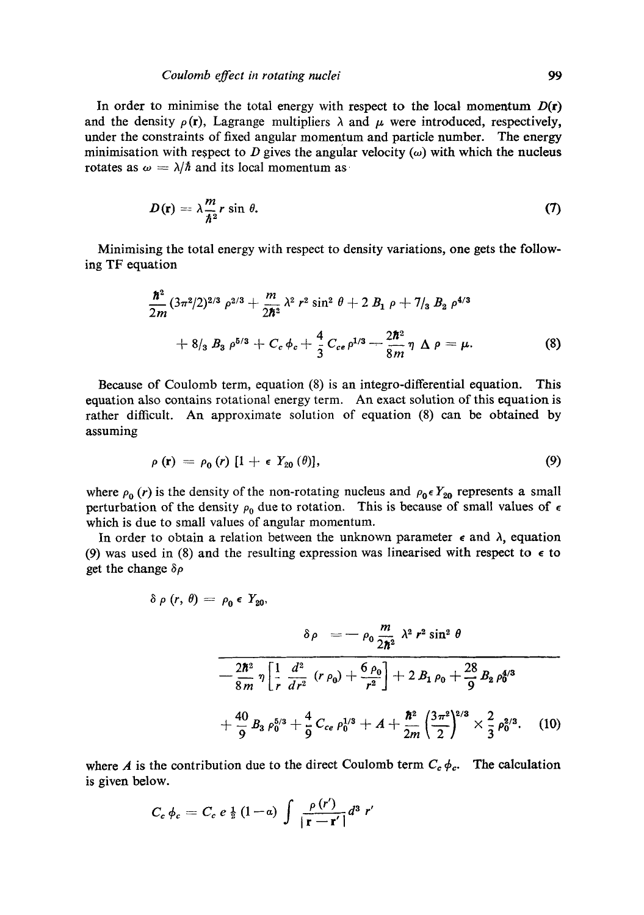In order to minimise the total energy with respect to the local momentum  $D(r)$ and the density  $\rho(\mathbf{r})$ , Lagrange multipliers  $\lambda$  and  $\mu$  were introduced, respectively, under the constraints of fixed angular momentum and particle number. The energy minimisation with respect to D gives the angular velocity ( $\omega$ ) with which the nucleus rotates as  $\omega = \lambda/\hbar$  and its local momentum as

$$
D(\mathbf{r}) = \lambda \frac{m}{\hbar^2} r \sin \theta. \tag{7}
$$

Minimising the total energy with respect to density variations, one gets the following TF equation

$$
\frac{\hbar^2}{2m}(3\pi^2/2)^{2/3}\rho^{2/3} + \frac{m}{2\hbar^2}\lambda^2\ r^2\ \sin^2\theta + 2\ B_1\ \rho + 7/3\ B_2\ \rho^{4/3} \n+ 8/3\ B_3\ \rho^{5/3} + C_c\ \phi_c + \frac{4}{3}\ C_{ce}\rho^{1/3} - \frac{2\hbar^2}{8m}\eta\ \Delta\ \rho = \mu. \tag{8}
$$

Because of Coulomb term, equation (8) is an integro-differential equation. This equation also contains rotational energy term. An exact solution of this equation is rather difficult. An approximate solution of equation (8) can be obtained by assuming

$$
\rho(\mathbf{r}) = \rho_0(r) \left[ 1 + \epsilon Y_{20}(\theta) \right], \tag{9}
$$

where  $\rho_0$  (r) is the density of the non-rotating nucleus and  $\rho_0 \in Y_{20}$  represents a small perturbation of the density  $\rho_0$  due to rotation. This is because of small values of  $\epsilon$ which is due to small values of angular momentum.

In order to obtain a relation between the unknown parameter  $\epsilon$  and  $\lambda$ , equation (9) was used in (8) and the resulting expression was linearised with respect to  $\epsilon$  to get the change  $\delta \rho$ 

$$
\delta \rho (r, \theta) = \rho_0 \epsilon Y_{20},
$$
\n
$$
\delta \rho = -\rho_0 \frac{m}{2\hbar^2} \lambda^2 r^2 \sin^2 \theta
$$
\n
$$
-\frac{2\hbar^2}{8m} \eta \left[ \frac{1}{r} \frac{d^2}{dr^2} (r \rho_0) + \frac{6 \rho_0}{r^2} \right] + 2 B_1 \rho_0 + \frac{28}{9} B_2 \rho_0^{4/3}
$$
\n
$$
+\frac{40}{9} B_3 \rho_0^{5/3} + \frac{4}{9} C_{ce} \rho_0^{1/3} + A + \frac{\hbar^2}{2m} \left( \frac{3\pi^2}{2} \right)^{2/3} \times \frac{2}{3} \rho_0^{2/3}.
$$
\n(10)

where A is the contribution due to the direct Coulomb term  $C_c \phi_c$ . The calculation is given below.

$$
C_c \phi_c = C_c e^{\frac{1}{2}} (1-a) \int \frac{\rho(r')}{|\mathbf{r}-\mathbf{r'}|} d^3 r'
$$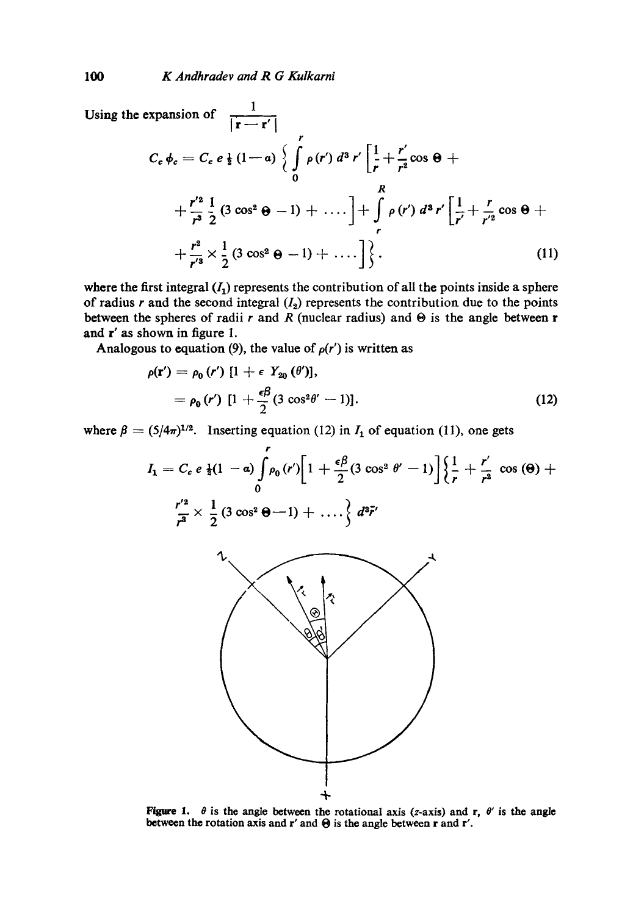*100 K Andhradev and R G Kulkarni* 

Using the expansion of  $\frac{1}{|\mathbf{r}-\mathbf{r}'|}$ 

$$
C_{e} \phi_{e} = C_{e} e_{\frac{1}{2}} (1 - a) \left\{ \int_{0}^{r} \rho(r') d^{3} r' \left[ \frac{1}{r} + \frac{r'}{r^{2}} \cos \Theta + \frac{r'^{2}}{r^{3}} \frac{1}{2} (3 \cos^{2} \Theta - 1) + \dots \right] + \int_{r}^{R} \rho(r') d^{3} r' \left[ \frac{1}{r'} + \frac{r}{r'^{2}} \cos \Theta + \frac{r^{2}}{r'^{3}} \times \frac{1}{2} (3 \cos^{2} \Theta - 1) + \dots \right] \right\}.
$$
 (11)

where the first integral  $(I_1)$  represents the contribution of all the points inside a sphere of radius r and the second integral  $(I_2)$  represents the contribution due to the points between the spheres of radii r and R (nuclear radius) and  $\Theta$  is the angle between r and r' as shown in figure 1.

Analogous to equation (9), the value of  $\rho(r')$  is written as

$$
\rho(\mathbf{r}') = \rho_0(r') [1 + \epsilon Y_{20}(\theta')],
$$
  
=  $\rho_0(r') [1 + \frac{\epsilon \beta}{2} (3 \cos^2 \theta' - 1)].$  (12)

where  $\beta = (5/4\pi)^{1/2}$ . Inserting equation (12) in  $I_1$  of equation (11), one gets

$$
I_1 = C_c e \frac{1}{2}(1 - \alpha) \int_{0}^{r} \rho_0(r') \left[1 + \frac{\epsilon \beta}{2} (3 \cos^2 \theta' - 1) \right] \left\{ \frac{1}{r} + \frac{r'}{r^2} \cos (\Theta) + \frac{r'^2}{r^3} \times \frac{1}{2} (3 \cos^2 \Theta - 1) + \ldots \right\} d^3 \tilde{r}'
$$



Figure 1.  $\theta$  is the angle between the rotational axis (z-axis) and **r**,  $\theta'$  is the angle between the rotation axis and  $\mathbf r'$  and  $\Theta$  is the angle between r and  $\mathbf r'$ .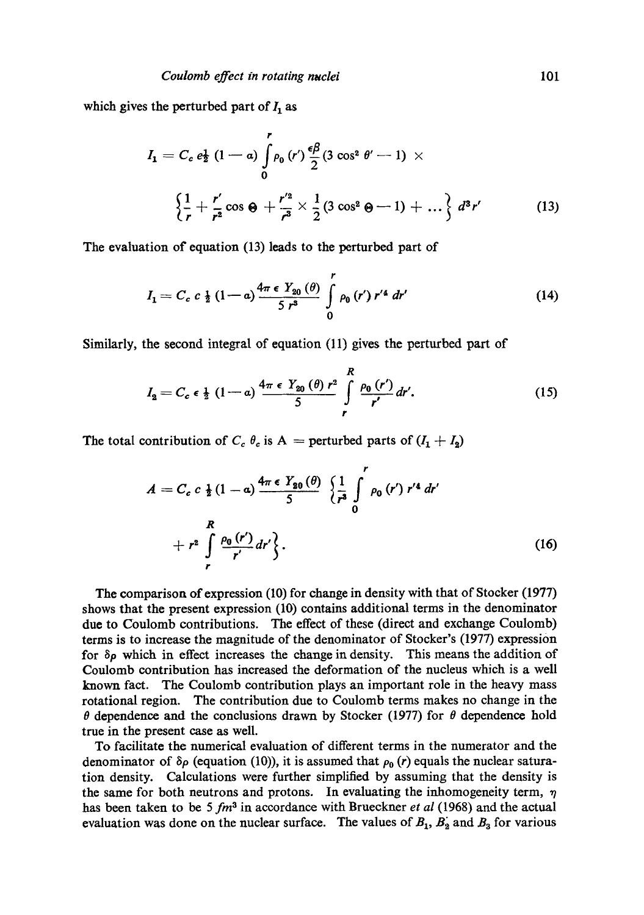which gives the perturbed part of  $I_1$  as

$$
I_1 = C_c e^{\frac{1}{2}} (1 - a) \int_0^r \rho_0(r') \frac{\epsilon \beta}{2} (3 \cos^2 \theta' - 1) \times \left\{ \frac{1}{r} + \frac{r'}{r^2} \cos \Theta + \frac{r'^2}{r^3} \times \frac{1}{2} (3 \cos^2 \Theta - 1) + \dots \right\} d^3 r' \tag{13}
$$

The evaluation of equation (13) leads to the perturbed part of

$$
I_1 = C_c c \frac{1}{2} (1 - a) \frac{4\pi \epsilon Y_{20} (\theta)}{5 r^3} \int_{0}^{r} \rho_0 (r') r'^4 dr' \qquad (14)
$$

Similarly, the second integral of equation (11) gives the perturbed part of

$$
I_2 = C_c \epsilon \frac{1}{2} (1 - a) \frac{4\pi \epsilon Y_{20} (\theta) r^2}{5} \int_{r}^{R} \frac{\rho_0 (r')}{r'} dr'.
$$
 (15)

The total contribution of  $C_c$   $\theta_c$  is A = perturbed parts of  $(I_1 + I_2)$ 

$$
A = C_c c \frac{1}{2} (1 - a) \frac{4\pi \epsilon Y_{20} (\theta)}{5} \left\{ \frac{1}{r^2} \int_{0}^{r} \rho_0 (r') r'^4 dr' + r^2 \int_{r}^{R} \frac{\rho_0 (r')}{r'} dr' \right\}.
$$
 (16)

The comparison of expression (10) for change in density with that of Stocker (1977) shows that the present expression (10) contains additional terms in the denominator due to Coulomb contributions. The effect of these (direct and exchange Coulomb) terms is to increase the magnitude of the denominator of Stocker's (1977) expression for  $\delta \rho$  which in effect increases the change in density. This means the addition of Coulomb contribution has increased the deformation of the nucleus which is a well known fact. The Coulomb contribution plays an important role in the heavy mass rotational region. The contribution due to Coulomb terms makes no change in the  $\theta$  dependence and the conclusions drawn by Stocker (1977) for  $\theta$  dependence hold true in the present case as well.

To facilitate the numerical evaluation of different terms in the numerator and the denominator of  $\delta \rho$  (equation (10)), it is assumed that  $\rho_0(r)$  equals the nuclear saturation density. Calculations were further simplified by assuming that the density is the same for both neutrons and protons. In evaluating the inhomogeneity term,  $\eta$ has been taken to be 5 *fm*<sup>3</sup> in accordance with Brueckner *et al* (1968) and the actual evaluation was done on the nuclear surface. The values of  $B_1, B_2$  and  $B_3$  for various